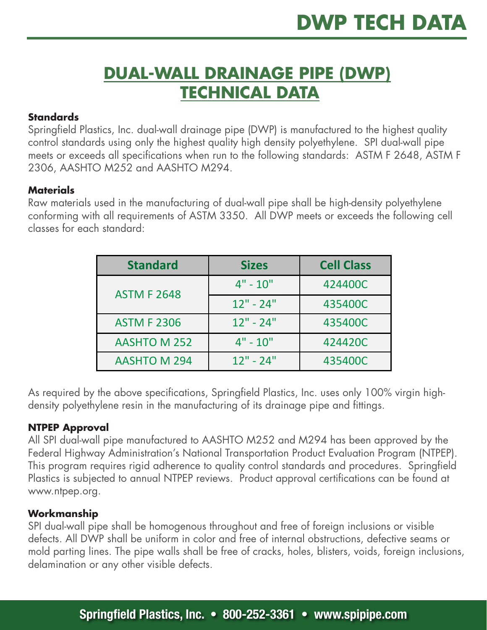## **DUAL-WALL DRAINAGE PIPE (DWP) TECHNICAL DATA**

#### **Standards**

Springfield Plastics, Inc. dual-wall drainage pipe (DWP) is manufactured to the highest quality control standards using only the highest quality high density polyethylene. SPI dual-wall pipe meets or exceeds all specifications when run to the following standards: ASTM F 2648, ASTM F 2306, AASHTO M252 and AASHTO M294.

#### **Materials**

Raw materials used in the manufacturing of dual-wall pipe shall be high-density polyethylene conforming with all requirements of ASTM 3350. All DWP meets or exceeds the following cell classes for each standard:

| <b>Standard</b>     | <b>Sizes</b> | <b>Cell Class</b> |  |
|---------------------|--------------|-------------------|--|
| <b>ASTM F 2648</b>  | $4" - 10"$   | 424400C           |  |
|                     | $12" - 24"$  | 435400C           |  |
| <b>ASTM F 2306</b>  | $12" - 24"$  | 435400C           |  |
| <b>AASHTO M 252</b> | $4" - 10"$   | 424420C           |  |
| <b>AASHTO M 294</b> | $12" - 24"$  | 435400C           |  |

As required by the above specifications, Springfield Plastics, Inc. uses only 100% virgin highdensity polyethylene resin in the manufacturing of its drainage pipe and fittings.

#### **NTPEP Approval**

All SPI dual-wall pipe manufactured to AASHTO M252 and M294 has been approved by the Federal Highway Administration's National Transportation Product Evaluation Program (NTPEP). This program requires rigid adherence to quality control standards and procedures. Springfield Plastics is subjected to annual NTPEP reviews. Product approval certifications can be found at www.ntpep.org.

#### **Workmanship**

SPI dual-wall pipe shall be homogenous throughout and free of foreign inclusions or visible defects. All DWP shall be uniform in color and free of internal obstructions, defective seams or mold parting lines. The pipe walls shall be free of cracks, holes, blisters, voids, foreign inclusions, delamination or any other visible defects.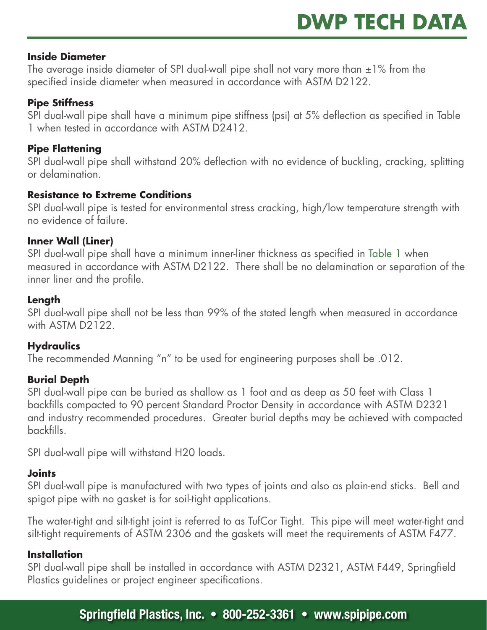#### **Inside Diameter**

The average inside diameter of SPI dual-wall pipe shall not vary more than  $\pm 1\%$  from the specified inside diameter when measured in accordance with ASTM D2122.

#### **Pipe Stiffness**

SPI dual-wall pipe shall have a minimum pipe stiffness (psi) at 5% deflection as specified in Table 1 when tested in accordance with ASTM D2412.

#### **Pipe Flattening**

SPI dual-wall pipe shall withstand 20% deflection with no evidence of buckling, cracking, splitting or delamination.

#### **Resistance to Extreme Conditions**

SPI dual-wall pipe is tested for environmental stress cracking, high/low temperature strength with no evidence of failure.

#### **Inner Wall (Liner)**

SPI dual-wall pipe shall have a minimum inner-liner thickness as specified in Table 1 when measured in accordance with ASTM D2122. There shall be no delamination or separation of the inner liner and the profile.

#### **Length**

SPI dual-wall pipe shall not be less than 99% of the stated length when measured in accordance with ASTM D2122.

#### **Hydraulics**

The recommended Manning "n" to be used for engineering purposes shall be .012.

#### **Burial Depth**

SPI dual-wall pipe can be buried as shallow as 1 foot and as deep as 50 feet with Class 1 backfills compacted to 90 percent Standard Proctor Density in accordance with ASTM D2321 and industry recommended procedures. Greater burial depths may be achieved with compacted backfills.

SPI dual-wall pipe will withstand H20 loads.

#### **Joints**

SPI dual-wall pipe is manufactured with two types of joints and also as plain-end sticks. Bell and spigot pipe with no gasket is for soil-tight applications.

The water-tight and silt-tight joint is referred to as TufCor Tight. This pipe will meet water-tight and silt-tight requirements of ASTM 2306 and the gaskets will meet the requirements of ASTM F477.

#### **Installation**

SPI dual-wall pipe shall be installed in accordance with ASTM D2321, ASTM F449, Springfield Plastics guidelines or project engineer specifications.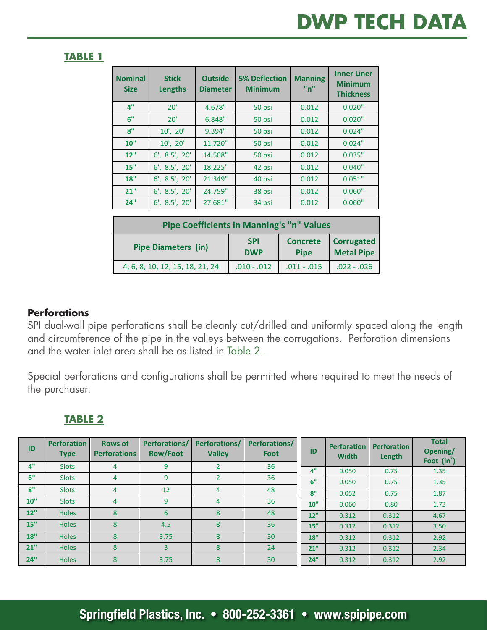#### **TABLE 1 TABLE 1**

**Size**

**Lengths**

**Diameter**

| <b>Nominal</b><br><b>Size</b>                    | <b>Stick</b><br><b>Lengths</b> | <b>Outside</b><br><b>Diameter</b> | <b>5% Deflection</b><br><b>Minimum</b> | <b>Manning</b><br>"n"          | <b>Inner Liner</b><br><b>Minimum</b><br><b>Thickness</b> |  |  |  |
|--------------------------------------------------|--------------------------------|-----------------------------------|----------------------------------------|--------------------------------|----------------------------------------------------------|--|--|--|
| 4"                                               | 20'                            | 4.678"                            | 50 psi                                 | 0.012                          | 0.020"                                                   |  |  |  |
| 6"                                               | 20'                            | 6.848"                            | 50 psi                                 | 0.012                          | 0.020"                                                   |  |  |  |
| 8"                                               | 10', 20'                       | 9.394"                            | 50 psi                                 | 0.012                          | 0.024"                                                   |  |  |  |
| 10"                                              | 10', 20'                       | 11.720"                           | 50 psi                                 | 0.012                          | 0.024"                                                   |  |  |  |
| 12"                                              | 6', 8.5', 20'                  | 14.508"                           | 50 psi                                 | 0.012                          | 0.035"                                                   |  |  |  |
| 15"                                              | $6'$ , $8.5'$ , $20'$          | 18.225"                           | 42 psi                                 | 0.012                          | 0.040"                                                   |  |  |  |
| 18"                                              | $6'$ , $8.5'$ , $20'$          | 21.349"                           | 40 psi                                 | 0.012                          | 0.051"                                                   |  |  |  |
| 21"                                              | 6', 8.5', 20'                  | 24.759"                           | 38 psi                                 | 0.012                          | 0.060"                                                   |  |  |  |
| 24"                                              | 6', 8.5', 20'                  | 27.681"                           | 34 psi                                 | 0.012                          | 0.060"                                                   |  |  |  |
|                                                  |                                |                                   |                                        |                                |                                                          |  |  |  |
| <b>Pipe Coefficients in Manning's "n" Values</b> |                                |                                   |                                        |                                |                                                          |  |  |  |
| <b>Pipe Diameters (in)</b>                       |                                |                                   | <b>SPI</b><br><b>DWP</b>               | <b>Concrete</b><br><b>Pipe</b> | <b>Corrugated</b><br><b>Metal Pipe</b>                   |  |  |  |

**Minimum**

**"n"**

#### **Perforations Perforations**

and circumference of the pipe in the valleys between the corrugations. Perforation dimensions and the water inlet area shall be as listed in Table 2. SPI dual-wall pipe perforations shall be cleanly cut/drilled and uniformly spaced along the length drilled and unitormly spaced along the length **10"** Slots 4 9 4 36

4, 6, 8, 10, 12, 15, 18, 21, 24 .010 - .012 .011 - .015 .022 - .026

**Concrete** 

**Correspondent Correspondent Correspondent Correspondent Correspondent Correspondent Correspondent Correspondent** 

**Pipe Pipe Pipe Pipe Pipe Pipe Pipe Pipe** 

circumference **between**  $\alpha$  in the second corrupations. The second corrupations of the second corrupations. Special perforations and configurations shall be permitted where required to meet the needs of<br>'  $\frac{1}{2}$  is the set of the set of the set of the set of the set of the set of the set of the set of the set of the set of the set of the set of the set of the set of the set of the set of the set of the set of the set of the purchaser. **18"** Holes 8 3.75 8 30

### purchaser. 
**TABLE 2**

| ID  | <b>Perforation</b><br><b>Type</b> | <b>Rows of</b><br><b>Perforations</b> | Perforations/<br><b>Row/Foot</b> | <b>Perforations/</b><br><b>Valley</b> | Perforations/<br>Foot | ID  | <b>Perforation</b><br><b>Width</b> | <b>Perforation</b><br>Length | <b>Total</b><br>Opening/<br>Foot $(in^2)$ |
|-----|-----------------------------------|---------------------------------------|----------------------------------|---------------------------------------|-----------------------|-----|------------------------------------|------------------------------|-------------------------------------------|
| 4"  | <b>Slots</b>                      | 4                                     | 9                                |                                       | 36                    | 4"  | 0.050                              | 0.75                         | 1.35                                      |
| 6"  | <b>Slots</b>                      | 4                                     | 9                                |                                       | 36                    | 6"  | 0.050                              | 0.75                         | 1.35                                      |
| 8"  | <b>Slots</b>                      | 4                                     | 12                               | 4                                     | 48                    | 8"  | 0.052                              | 0.75                         | 1.87                                      |
| 10" | <b>Slots</b>                      | 4                                     | 9                                | 4                                     | 36                    | 10" | 0.060                              | 0.80                         | 1.73                                      |
| 12" | <b>Holes</b>                      | 8                                     | 6                                | 8                                     | 48                    | 12" | 0.312                              | 0.312                        | 4.67                                      |
| 15" | <b>Holes</b>                      | 8                                     | 4.5                              | 8                                     | 36                    | 15" | 0.312                              | 0.312                        | 3.50                                      |
| 18" | <b>Holes</b>                      | 8                                     | 3.75                             | 8                                     | 30                    | 18" | 0.312                              | 0.312                        | 2.92                                      |
| 21" | <b>Holes</b>                      | $\mathbf{8}$                          | $\overline{3}$                   | 8                                     | 24                    | 21" | 0.312                              | 0.312                        | 2.34                                      |
| 24" | <b>Holes</b>                      | 8                                     | 3.75                             | 8                                     | 30                    | 24" | 0.312                              | 0.312                        | 2.92                                      |

**Total**